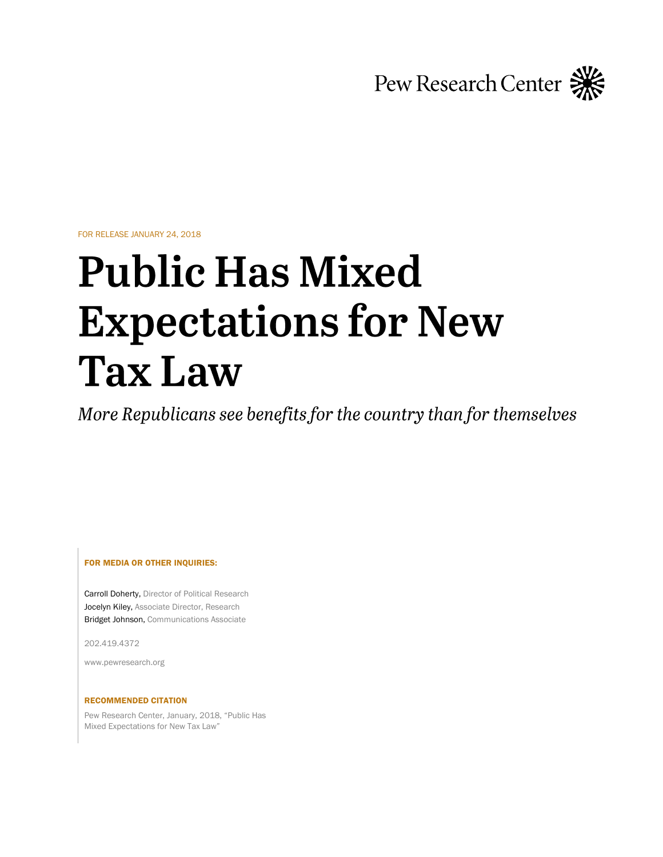Pew Research Center

FOR RELEASE JANUARY 24, 2018

# **Public Has Mixed Expectations for New Tax Law**

More Republicans see benefits for the country than for themselves

FOR MEDIA OR OTHER INQUIRIES:

Carroll Doherty, Director of Political Research Jocelyn Kiley, Associate Director, Research Bridget Johnson, Communications Associate

202.419.4372

www.pewresearch.org

#### RECOMMENDED CITATION

Pew Research Center, January, 2018, "Public Has Mixed Expectations for New Tax Law"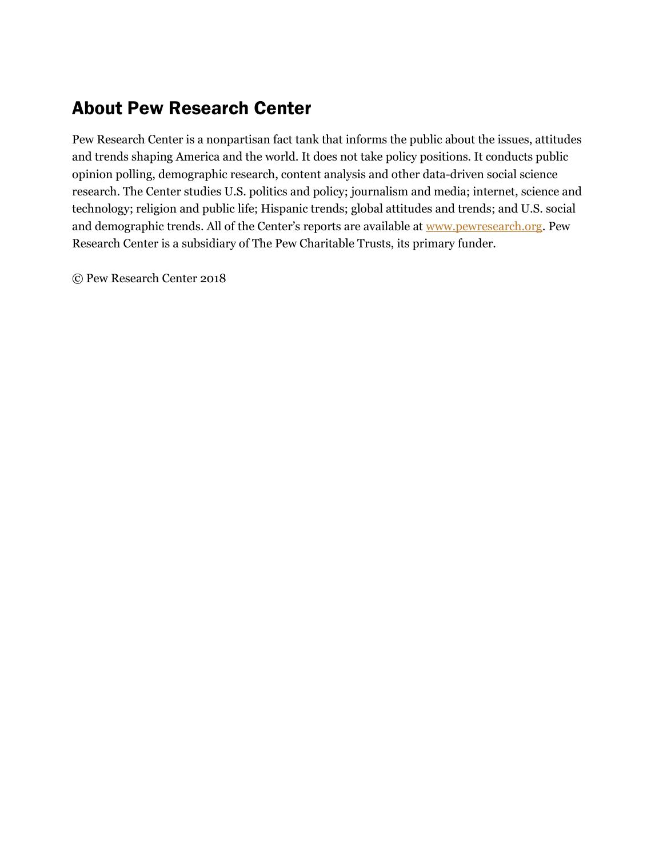# About Pew Research Center

Pew Research Center is a nonpartisan fact tank that informs the public about the issues, attitudes and trends shaping America and the world. It does not take policy positions. It conducts public opinion polling, demographic research, content analysis and other data-driven social science research. The Center studies U.S. politics and policy; journalism and media; internet, science and technology; religion and public life; Hispanic trends; global attitudes and trends; and U.S. social and demographic trends. All of the Center's reports are available at [www.pewresearch.org.](http://www.pewresearch.org/) Pew Research Center is a subsidiary of The Pew Charitable Trusts, its primary funder.

© Pew Research Center 2018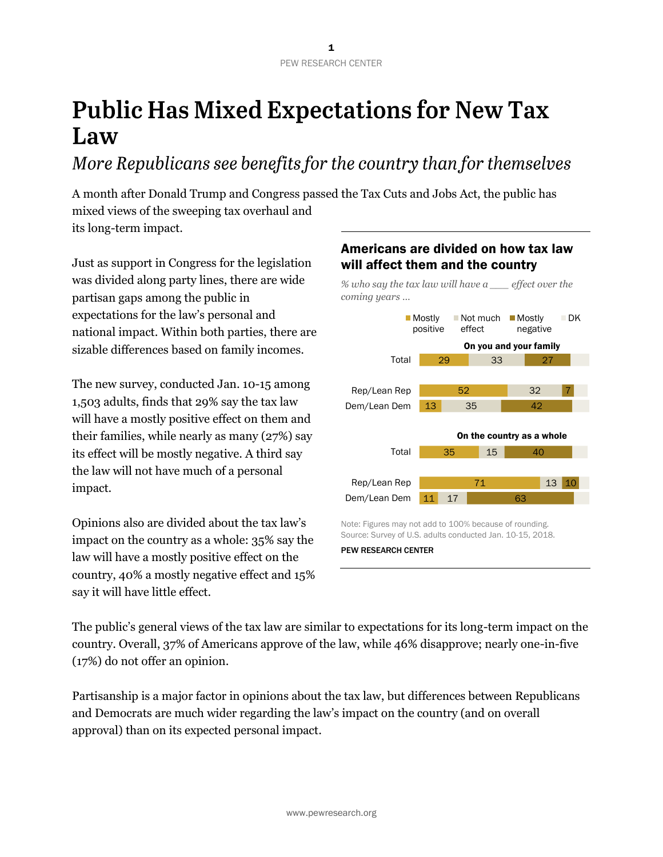# **Public Has Mixed Expectations for New Tax** Law

More Republicans see benefits for the country than for themselves

A month after Donald Trump and Congress passed the Tax Cuts and Jobs Act, the public has mixed views of the sweeping tax overhaul and its long-term impact.

Just as support in Congress for the legislation was divided along party lines, there are wide partisan gaps among the public in expectations for the law's personal and national impact. Within both parties, there are sizable differences based on family incomes.

The new survey, conducted Jan. 10-15 among 1,503 adults, finds that 29% say the tax law will have a mostly positive effect on them and their families, while nearly as many (27%) say its effect will be mostly negative. A third say the law will not have much of a personal impact.

Opinions also are divided about the tax law's impact on the country as a whole: 35% say the law will have a mostly positive effect on the country, 40% a mostly negative effect and 15% say it will have little effect.



Americans are divided on how tax law

The public's general views of the tax law are similar to expectations for its long-term impact on the country. Overall, 37% of Americans approve of the law, while 46% disapprove; nearly one-in-five (17%) do not offer an opinion.

Partisanship is a major factor in opinions about the tax law, but differences between Republicans and Democrats are much wider regarding the law's impact on the country (and on overall approval) than on its expected personal impact.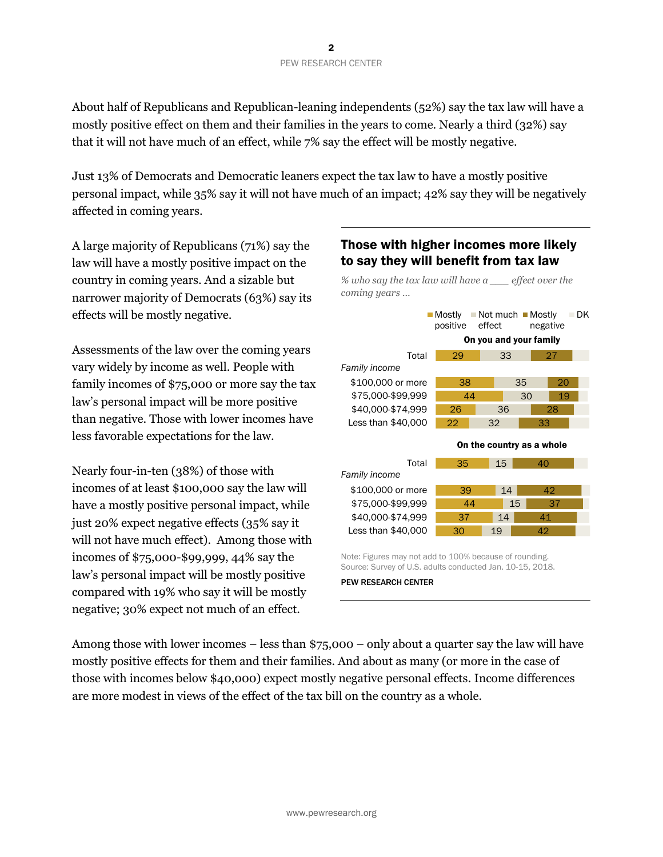About half of Republicans and Republican-leaning independents (52%) say the tax law will have a mostly positive effect on them and their families in the years to come. Nearly a third (32%) say that it will not have much of an effect, while 7% say the effect will be mostly negative.

Just 13% of Democrats and Democratic leaners expect the tax law to have a mostly positive personal impact, while 35% say it will not have much of an impact; 42% say they will be negatively affected in coming years.

A large majority of Republicans (71%) say the law will have a mostly positive impact on the country in coming years. And a sizable but narrower majority of Democrats (63%) say its effects will be mostly negative.

Assessments of the law over the coming years vary widely by income as well. People with family incomes of \$75,000 or more say the tax law's personal impact will be more positive than negative. Those with lower incomes have less favorable expectations for the law.

Nearly four-in-ten (38%) of those with incomes of at least \$100,000 say the law will have a mostly positive personal impact, while just 20% expect negative effects (35% say it will not have much effect). Among those with incomes of \$75,000-\$99,999, 44% say the law's personal impact will be mostly positive compared with 19% who say it will be mostly negative; 30% expect not much of an effect.

# Those with higher incomes more likely to say they will benefit from tax law



Source: Survey of U.S. adults conducted Jan. 10-15, 2018. PEW RESEARCH CENTER

Among those with lower incomes – less than \$75,000 – only about a quarter say the law will have mostly positive effects for them and their families. And about as many (or more in the case of those with incomes below \$40,000) expect mostly negative personal effects. Income differences are more modest in views of the effect of the tax bill on the country as a whole.

# *% who say the tax law will have a \_\_\_ effect over the coming years …*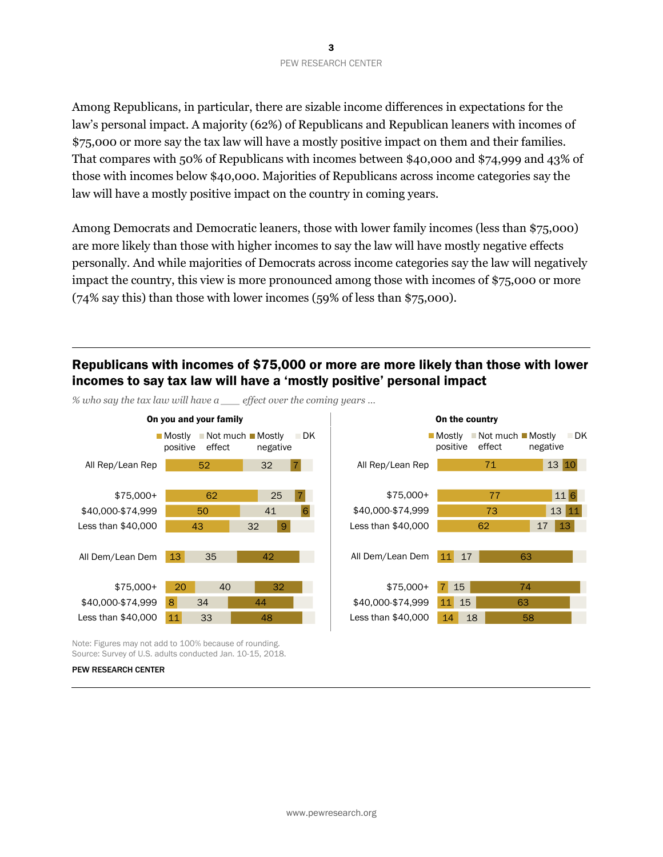Among Republicans, in particular, there are sizable income differences in expectations for the law's personal impact. A majority (62%) of Republicans and Republican leaners with incomes of \$75,000 or more say the tax law will have a mostly positive impact on them and their families. That compares with 50% of Republicans with incomes between \$40,000 and \$74,999 and 43% of those with incomes below \$40,000. Majorities of Republicans across income categories say the law will have a mostly positive impact on the country in coming years.

Among Democrats and Democratic leaners, those with lower family incomes (less than \$75,000) are more likely than those with higher incomes to say the law will have mostly negative effects personally. And while majorities of Democrats across income categories say the law will negatively impact the country, this view is more pronounced among those with incomes of \$75,000 or more (74% say this) than those with lower incomes (59% of less than \$75,000).

# Republicans with incomes of \$75,000 or more are more likely than those with lower incomes to say tax law will have a 'mostly positive' personal impact



*% who say the tax law will have a \_\_\_ effect over the coming years …*



Note: Figures may not add to 100% because of rounding. Source: Survey of U.S. adults conducted Jan. 10-15, 2018.

#### PEW RESEARCH CENTER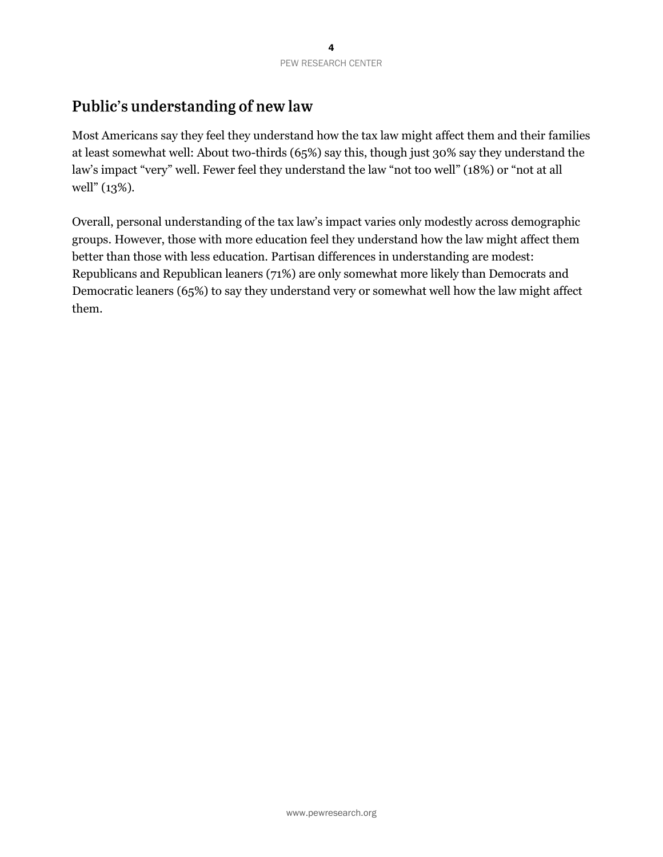# Public's understanding of new law

Most Americans say they feel they understand how the tax law might affect them and their families at least somewhat well: About two-thirds (65%) say this, though just 30% say they understand the law's impact "very" well. Fewer feel they understand the law "not too well" (18%) or "not at all well" (13%).

Overall, personal understanding of the tax law's impact varies only modestly across demographic groups. However, those with more education feel they understand how the law might affect them better than those with less education. Partisan differences in understanding are modest: Republicans and Republican leaners (71%) are only somewhat more likely than Democrats and Democratic leaners (65%) to say they understand very or somewhat well how the law might affect them.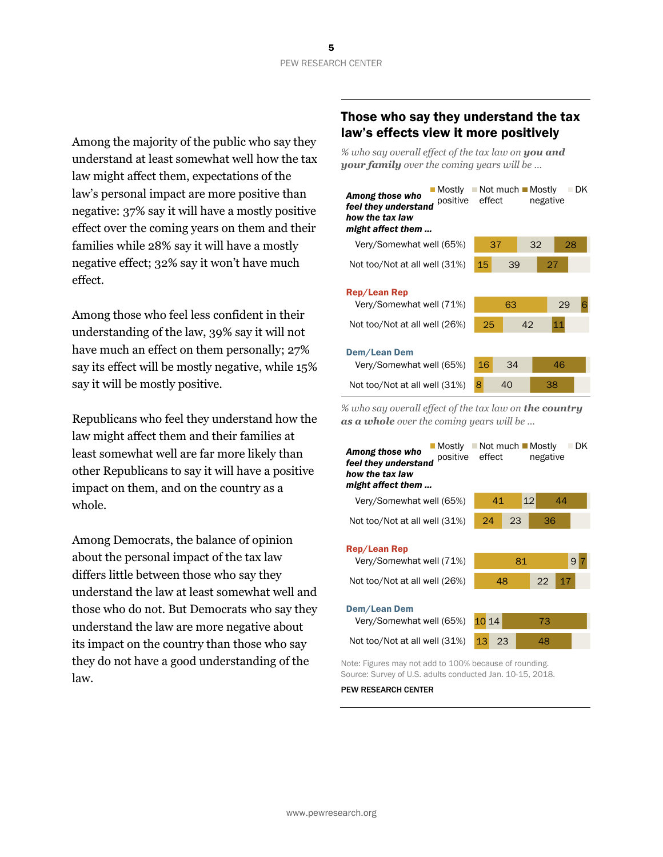Among the majority of the public who say they understand at least somewhat well how the tax law might affect them, expectations of the law's personal impact are more positive than negative: 37% say it will have a mostly positive effect over the coming years on them and their families while 28% say it will have a mostly negative effect; 32% say it won't have much effect.

Among those who feel less confident in their understanding of the law, 39% say it will not have much an effect on them personally; 27% say its effect will be mostly negative, while 15% say it will be mostly positive.

Republicans who feel they understand how the law might affect them and their families at least somewhat well are far more likely than other Republicans to say it will have a positive impact on them, and on the country as a whole.

Among Democrats, the balance of opinion about the personal impact of the tax law differs little between those who say they understand the law at least somewhat well and those who do not. But Democrats who say they understand the law are more negative about its impact on the country than those who say they do not have a good understanding of the law.

# Those who say they understand the tax law's effects view it more positively

*% who say overall effect of the tax law on you and your family over the coming years will be …*

| ∎Mostlv<br>Among those who<br>positive effect<br>feel they understand<br>how the tax law<br>might affect them | $\blacksquare$ Not much $\blacksquare$ Mostly | DK<br>negative |
|---------------------------------------------------------------------------------------------------------------|-----------------------------------------------|----------------|
| Very/Somewhat well (65%)                                                                                      | 37                                            | 32<br>28       |
| Not too/Not at all well (31%)                                                                                 | 15<br>39                                      | 27             |
| Rep/Lean Rep<br>Very/Somewhat well (71%)                                                                      | 63                                            | 29             |
| Not too/Not at all well (26%)                                                                                 | 25                                            | 11<br>42       |
| Dem/Lean Dem<br>Very/Somewhat well (65%)                                                                      | 16<br>34                                      | 46             |
| Not too/Not at all well (31%)                                                                                 | 8<br>40                                       | 38             |
|                                                                                                               |                                               |                |

*% who say overall effect of the tax law on the country as a whole over the coming years will be …*



Note: Figures may not add to 100% because of rounding. Source: Survey of U.S. adults conducted Jan. 10-15, 2018.

## PEW RESEARCH CENTER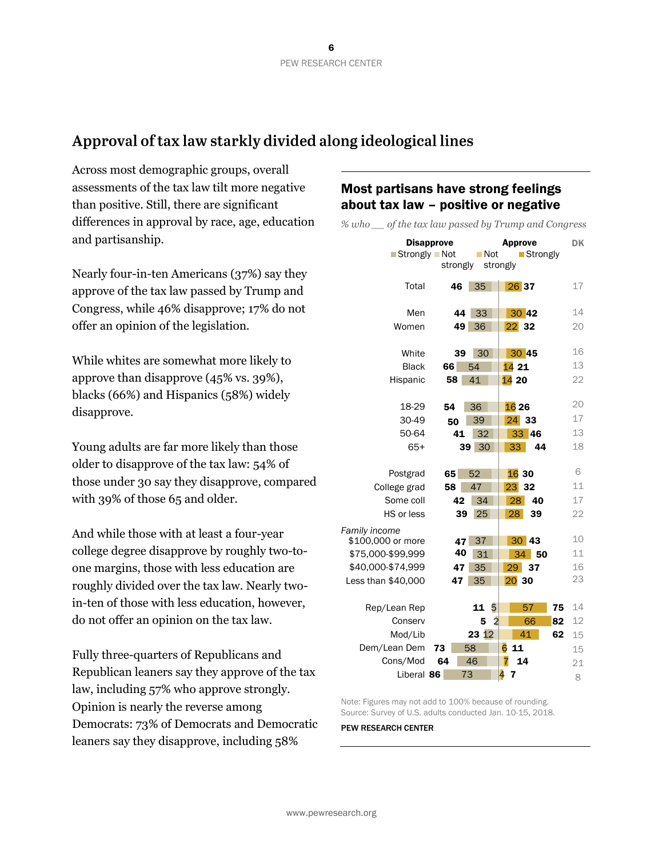# Approval of tax law starkly divided along ideological lines

Across most demographic groups, overall assessments of the tax law tilt more negative than positive. Still, there are significant differences in approval by race, age, education and partisanship.

Nearly four-in-ten Americans (37%) say they approve of the tax law passed by Trump and Congress, while 46% disapprove; 17% do not offer an opinion of the legislation.

While whites are somewhat more likely to approve than disapprove (45% vs. 39%), blacks (66%) and Hispanics (58%) widely disapprove.

Young adults are far more likely than those older to disapprove of the tax law: 54% of those under 30 say they disapprove, compared with 39% of those 65 and older.

And while those with at least a four-year college degree disapprove by roughly two-toone margins, those with less education are roughly divided over the tax law. Nearly twoin-ten of those with less education, however, do not offer an opinion on the tax law.

Fully three-quarters of Republicans and Republican leaners say they approve of the tax law, including 57% who approve strongly. Opinion is nearly the reverse among Democrats: 73% of Democrats and Democratic leaners say they disapprove, including 58%

# Most partisans have strong feelings about tax law – positive or negative

*% who \_\_ of the tax law passed by Trump and Congress*

| <b>Disapprove</b><br>■ Strongly ■ Not |          | ■ Not               | <b>Approve</b><br>■ Strongly | DK |
|---------------------------------------|----------|---------------------|------------------------------|----|
|                                       | strongly |                     | strongly                     |    |
| Total                                 | 46       | 35                  | 26 37                        | 17 |
|                                       |          |                     |                              |    |
| Men                                   | 44       | 33                  | 30 42                        | 14 |
| Women                                 | 49       | 36                  | $22$ 32                      | 20 |
|                                       |          |                     |                              |    |
| White                                 | 39       | 30                  | 30 45                        | 16 |
| <b>Black</b>                          | 66       | 54                  | 1421                         | 13 |
| Hispanic                              | 58       | 41                  | 14 20                        | 22 |
|                                       |          |                     |                              |    |
| 18-29                                 | 54       | 36                  | 16 26                        | 20 |
| 30-49                                 | 50       | 39                  | 24 33                        | 17 |
| 50-64                                 | 41       | 32                  | 33 46                        | 13 |
| $65+$                                 | 39       | 30                  | $33-$<br>44                  | 18 |
|                                       |          |                     |                              |    |
| Postgrad                              | 65       | 52                  | 16 30                        | 6  |
| College grad                          | 58       | 47                  | 23 32                        | 11 |
| Some coll                             | 42       | 34                  | 28<br>40                     | 17 |
| HS or less                            | 39       | 25                  | 28<br>39                     | 22 |
|                                       |          |                     |                              |    |
| Family income<br>\$100,000 or more    | 47       | 37                  | 30 43                        | 10 |
| \$75,000-\$99,999                     | 40       | 31                  | 34<br>-50                    | 11 |
| \$40,000-\$74,999                     | 47       | 35                  | 29<br>37                     | 16 |
| Less than \$40,000                    | 47       | 35                  | $20$ 30                      | 23 |
|                                       |          |                     |                              |    |
| Rep/Lean Rep                          |          | 5<br>11             | 57<br>75                     | 14 |
| Conserv                               |          | $\overline{2}$<br>5 | 66<br>82                     | 12 |
| Mod/Lib                               |          | 23 12               | 41<br>62                     | 15 |
| Dem/Lean Dem                          | 73       | 58                  | 6<br>11                      | 15 |
| Cons/Mod                              | 64       | 46                  | 7<br>14                      | 21 |
| Liberal 86                            |          | 73                  | 4<br>7                       | 8  |

Note: Figures may not add to 100% because of rounding. Source: Survey of U.S. adults conducted Jan. 10-15, 2018.

PEW RESEARCH CENTER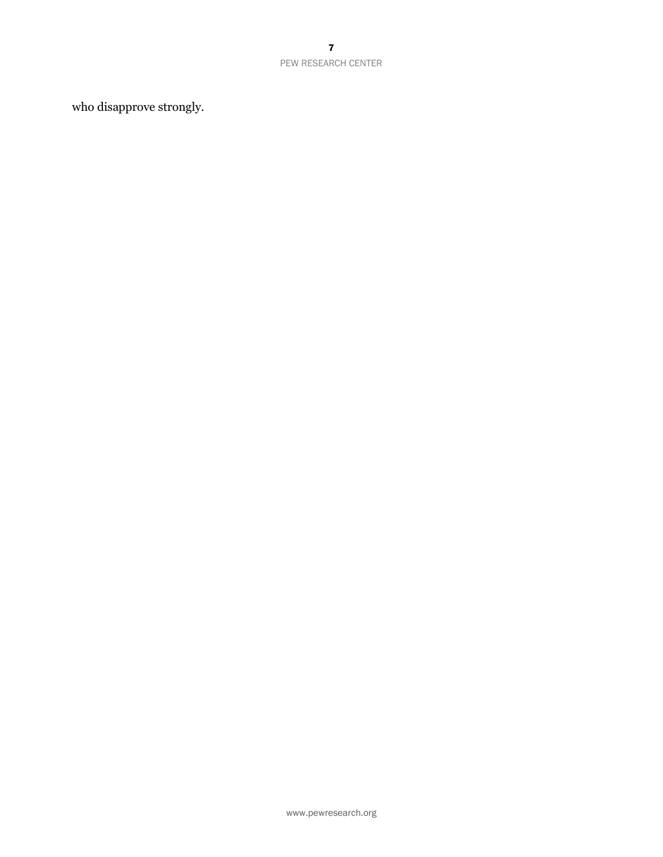## PEW RESEARCH CENTER

who disapprove strongly.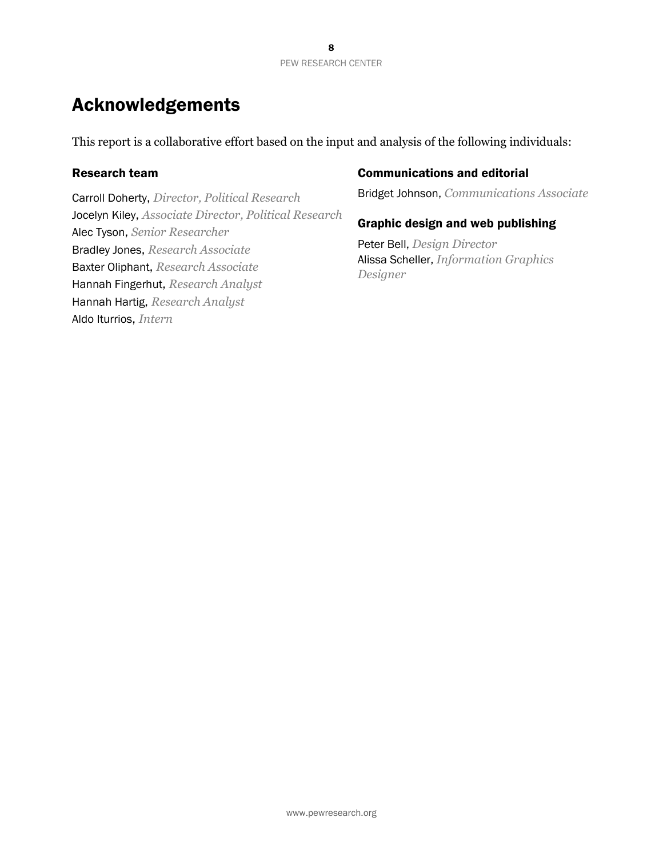# Acknowledgements

This report is a collaborative effort based on the input and analysis of the following individuals:

# Research team

Carroll Doherty, *Director, Political Research* Jocelyn Kiley, *Associate Director, Political Research* Alec Tyson, *Senior Researcher* Bradley Jones, *Research Associate* Baxter Oliphant, *Research Associate* Hannah Fingerhut, *Research Analyst* Hannah Hartig, *Research Analyst* Aldo Iturrios, *Intern*

# Communications and editorial

Bridget Johnson, *Communications Associate*

# Graphic design and web publishing

Peter Bell, *Design Director* Alissa Scheller, *Information Graphics Designer*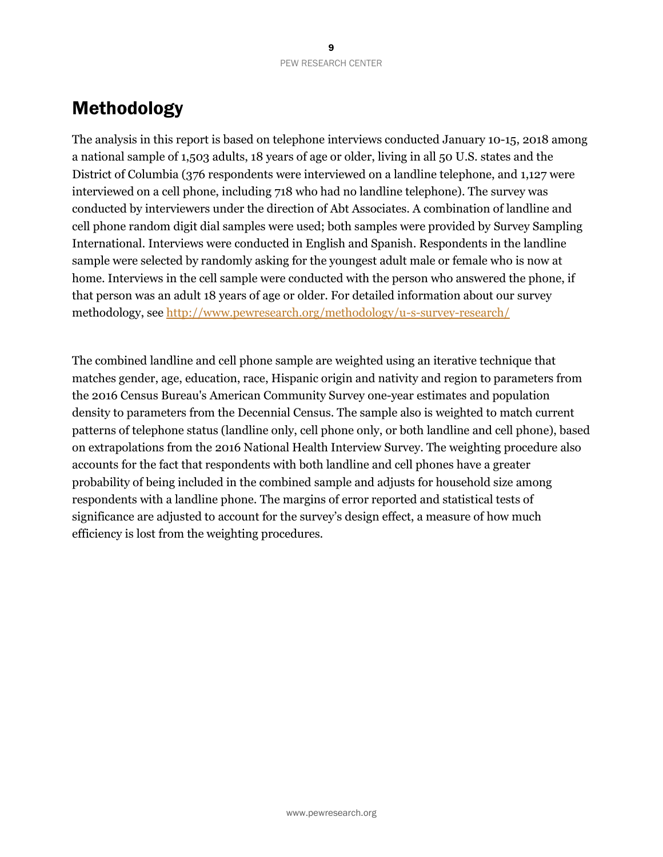# Methodology

The analysis in this report is based on telephone interviews conducted January 10-15, 2018 among a national sample of 1,503 adults, 18 years of age or older, living in all 50 U.S. states and the District of Columbia (376 respondents were interviewed on a landline telephone, and 1,127 were interviewed on a cell phone, including 718 who had no landline telephone). The survey was conducted by interviewers under the direction of Abt Associates. A combination of landline and cell phone random digit dial samples were used; both samples were provided by Survey Sampling International. Interviews were conducted in English and Spanish. Respondents in the landline sample were selected by randomly asking for the youngest adult male or female who is now at home. Interviews in the cell sample were conducted with the person who answered the phone, if that person was an adult 18 years of age or older. For detailed information about our survey methodology, se[e http://www.pewresearch.org/methodology/u-s-survey-research/](http://www.pewresearch.org/methodology/u-s-survey-research/)

The combined landline and cell phone sample are weighted using an iterative technique that matches gender, age, education, race, Hispanic origin and nativity and region to parameters from the 2016 Census Bureau's American Community Survey one-year estimates and population density to parameters from the Decennial Census. The sample also is weighted to match current patterns of telephone status (landline only, cell phone only, or both landline and cell phone), based on extrapolations from the 2016 National Health Interview Survey. The weighting procedure also accounts for the fact that respondents with both landline and cell phones have a greater probability of being included in the combined sample and adjusts for household size among respondents with a landline phone. The margins of error reported and statistical tests of significance are adjusted to account for the survey's design effect, a measure of how much efficiency is lost from the weighting procedures.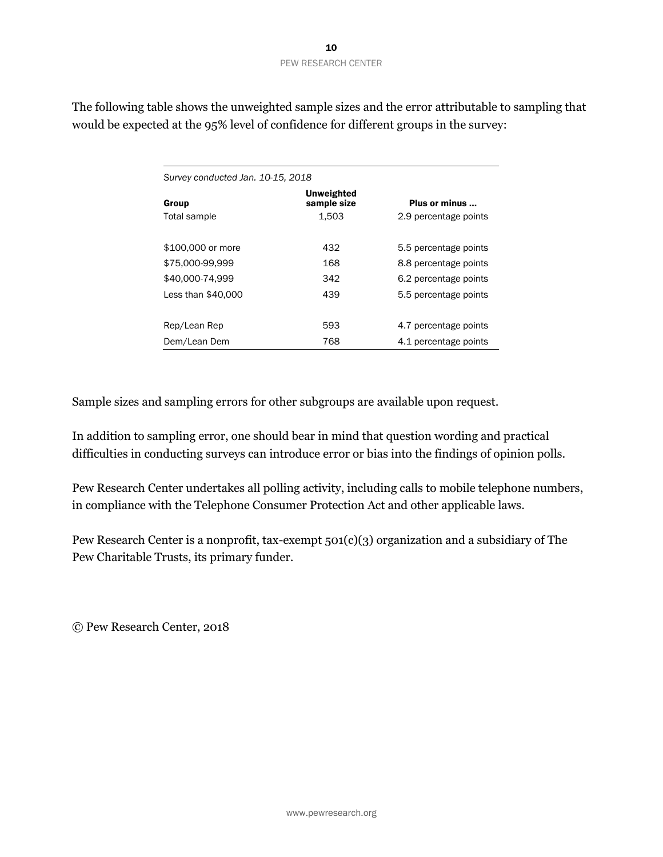The following table shows the unweighted sample sizes and the error attributable to sampling that would be expected at the 95% level of confidence for different groups in the survey:

| Survey conducted Jan. 10-15, 2018 |                           |                       |  |  |  |  |
|-----------------------------------|---------------------------|-----------------------|--|--|--|--|
| Group                             | Unweighted<br>sample size | Plus or minus         |  |  |  |  |
| Total sample                      | 1.503                     | 2.9 percentage points |  |  |  |  |
| \$100,000 or more                 | 432                       | 5.5 percentage points |  |  |  |  |
| \$75,000-99.999                   | 168                       | 8.8 percentage points |  |  |  |  |
| \$40,000-74,999                   | 342                       | 6.2 percentage points |  |  |  |  |
| Less than \$40,000                | 439                       | 5.5 percentage points |  |  |  |  |
|                                   |                           |                       |  |  |  |  |
| Rep/Lean Rep                      | 593                       | 4.7 percentage points |  |  |  |  |
| Dem/Lean Dem                      | 768                       | 4.1 percentage points |  |  |  |  |

Sample sizes and sampling errors for other subgroups are available upon request.

In addition to sampling error, one should bear in mind that question wording and practical difficulties in conducting surveys can introduce error or bias into the findings of opinion polls.

Pew Research Center undertakes all polling activity, including calls to mobile telephone numbers, in compliance with the Telephone Consumer Protection Act and other applicable laws.

Pew Research Center is a nonprofit, tax-exempt 501(c)(3) organization and a subsidiary of The Pew Charitable Trusts, its primary funder.

© Pew Research Center, 2018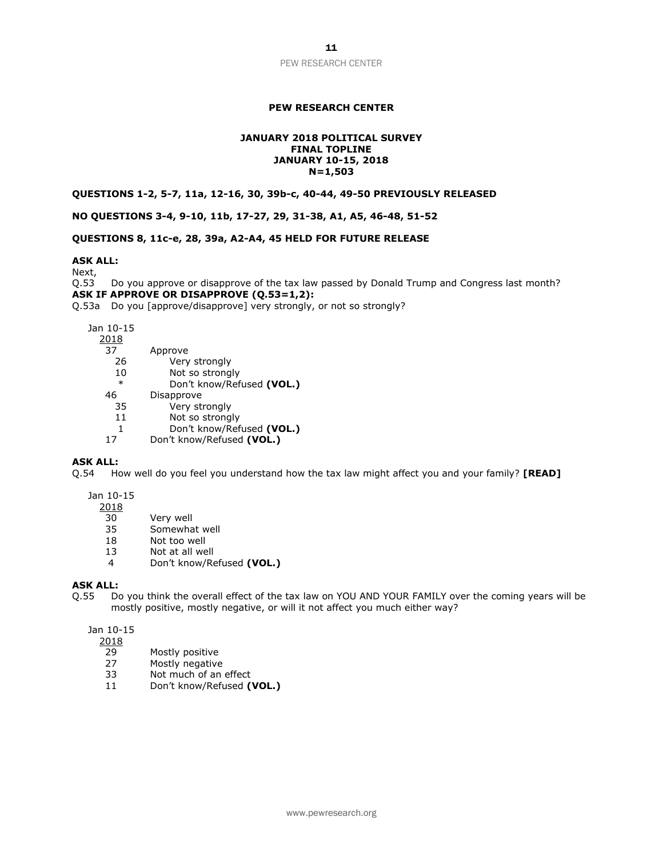## **PEW RESEARCH CENTER**

#### **JANUARY 2018 POLITICAL SURVEY FINAL TOPLINE JANUARY 10-15, 2018 N=1,503**

**QUESTIONS 1-2, 5-7, 11a, 12-16, 30, 39b-c, 40-44, 49-50 PREVIOUSLY RELEASED**

**NO QUESTIONS 3-4, 9-10, 11b, 17-27, 29, 31-38, A1, A5, 46-48, 51-52**

**QUESTIONS 8, 11c-e, 28, 39a, A2-A4, 45 HELD FOR FUTURE RELEASE**

#### **ASK ALL:**

Next,

Q.53 Do you approve or disapprove of the tax law passed by Donald Trump and Congress last month? **ASK IF APPROVE OR DISAPPROVE (Q.53=1,2):**

Q.53a Do you [approve/disapprove] very strongly, or not so strongly?

Jan 10-15

| Approve                   |
|---------------------------|
| Very strongly             |
| Not so strongly           |
| Don't know/Refused (VOL.) |
| Disapprove                |
| Very strongly             |
| Not so strongly           |
| Don't know/Refused (VOL.) |
| Don't know/Refused (VOL.) |
|                           |

#### **ASK ALL:**

Q.54 How well do you feel you understand how the tax law might affect you and your family? **[READ]**

### Jan 10-15

2018

- 30 Very well<br>35 Somewha
- Somewhat well
- 18 Not too well
- 13 Not at all well
- 4 Don't know/Refused **(VOL.)**

#### **ASK ALL:**

Q.55 Do you think the overall effect of the tax law on YOU AND YOUR FAMILY over the coming years will be mostly positive, mostly negative, or will it not affect you much either way?

Jan 10-15

2018

- 29 Mostly positive
- 27 Mostly negative
- 33 Not much of an effect
- 11 Don't know/Refused **(VOL.)**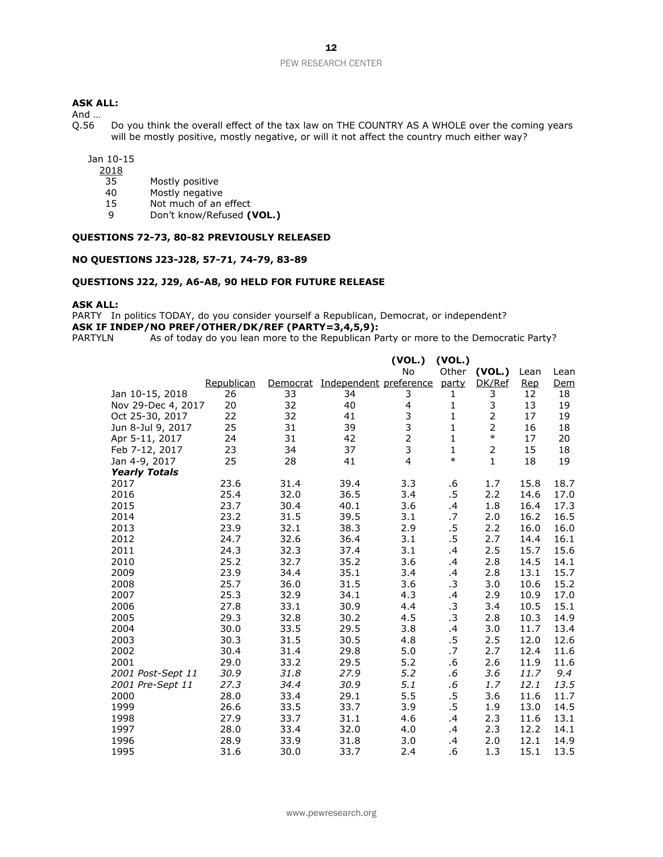#### PEW RESEARCH CENTER

## **ASK ALL:**

And ...<br>Q.56

Do you think the overall effect of the tax law on THE COUNTRY AS A WHOLE over the coming years will be mostly positive, mostly negative, or will it not affect the country much either way?

Jan 10-15

- $\frac{2018}{35}$
- Mostly positive
- 40 Mostly negative
- 15 Not much of an effect<br>9 Don't know/Refused (1)
- 9 Don't know/Refused **(VOL.)**

## **QUESTIONS 72-73, 80-82 PREVIOUSLY RELEASED**

#### **NO QUESTIONS J23-J28, 57-71, 74-79, 83-89**

#### **QUESTIONS J22, J29, A6-A8, 90 HELD FOR FUTURE RELEASE**

#### **ASK ALL:**

PARTY In politics TODAY, do you consider yourself a Republican, Democrat, or independent? **ASK IF INDEP/NO PREF/OTHER/DK/REF (PARTY=3,4,5,9):**<br>PARTYLN As of today do you lean more to the Republican Pa

As of today do you lean more to the Republican Party or more to the Democratic Party?

|                      |            |          |                        | (VOL.)<br>No            | (VOL.)         |                  |                    |             |
|----------------------|------------|----------|------------------------|-------------------------|----------------|------------------|--------------------|-------------|
|                      | Republican | Democrat | Independent preference |                         | Other<br>party | (VOL.)<br>DK/Ref | Lean<br><b>Rep</b> | Lean<br>Dem |
| Jan 10-15, 2018      | 26         | 33       | 34                     | 3                       | 1              | 3                | 12                 | 18          |
| Nov 29-Dec 4, 2017   | 20         | 32       | 40                     | $\overline{\mathbf{4}}$ | 1              | 3                | 13                 | 19          |
| Oct 25-30, 2017      | 22         | 32       | 41                     | 3                       | $\mathbf{1}$   | $\overline{2}$   | 17                 | 19          |
| Jun 8-Jul 9, 2017    | 25         | 31       | 39                     | 3                       | $\mathbf{1}$   | $\overline{2}$   | 16                 | 18          |
| Apr 5-11, 2017       | 24         | 31       | 42                     | $\overline{2}$          | $\mathbf{1}$   | $\ast$           | 17                 | 20          |
| Feb 7-12, 2017       | 23         | 34       | 37                     | 3                       | $\mathbf{1}$   | $\overline{2}$   | 15                 | 18          |
| Jan 4-9, 2017        | 25         | 28       | 41                     | $\overline{4}$          | $\ast$         | $\mathbf{1}$     | 18                 | 19          |
| <b>Yearly Totals</b> |            |          |                        |                         |                |                  |                    |             |
| 2017                 | 23.6       | 31.4     | 39.4                   | 3.3                     | .6             | 1.7              | 15.8               | 18.7        |
| 2016                 | 25.4       | 32.0     | 36.5                   | 3.4                     | $.5\,$         | 2.2              | 14.6               | 17.0        |
| 2015                 | 23.7       | 30.4     | 40.1                   | 3.6                     | .4             | 1.8              | 16.4               | 17.3        |
| 2014                 | 23.2       | 31.5     | 39.5                   | 3.1                     | .7             | 2.0              | 16.2               | 16.5        |
| 2013                 | 23.9       | 32.1     | 38.3                   | 2.9                     | .5             | 2.2              | 16.0               | 16.0        |
| 2012                 | 24.7       | 32.6     | 36.4                   | 3.1                     | .5             | 2.7              | 14.4               | 16.1        |
| 2011                 | 24.3       | 32.3     | 37.4                   | 3.1                     | .4             | 2.5              | 15.7               | 15.6        |
| 2010                 | 25.2       | 32.7     | 35.2                   | 3.6                     | .4             | 2.8              | 14.5               | 14.1        |
| 2009                 | 23.9       | 34.4     | 35.1                   | 3.4                     | .4             | 2.8              | 13.1               | 15.7        |
| 2008                 | 25.7       | 36.0     | 31.5                   | 3.6                     | $\cdot$ 3      | 3.0              | 10.6               | 15.2        |
| 2007                 | 25.3       | 32.9     | 34.1                   | 4.3                     | .4             | 2.9              | 10.9               | 17.0        |
| 2006                 | 27.8       | 33.1     | 30.9                   | 4.4                     | $\cdot$ 3      | 3.4              | 10.5               | 15.1        |
| 2005                 | 29.3       | 32.8     | 30.2                   | 4.5                     | $\cdot$ 3      | 2.8              | 10.3               | 14.9        |
| 2004                 | 30.0       | 33.5     | 29.5                   | 3.8                     | .4             | 3.0              | 11.7               | 13.4        |
| 2003                 | 30.3       | 31.5     | 30.5                   | 4.8                     | .5             | 2.5              | 12.0               | 12.6        |
| 2002                 | 30.4       | 31.4     | 29.8                   | 5.0                     | .7             | 2.7              | 12.4               | 11.6        |
| 2001                 | 29.0       | 33.2     | 29.5                   | 5.2                     | .6             | 2.6              | 11.9               | 11.6        |
| 2001 Post-Sept 11    | 30.9       | 31.8     | 27.9                   | 5.2                     | .6             | 3.6              | 11.7               | 9.4         |
| 2001 Pre-Sept 11     | 27.3       | 34.4     | 30.9                   | 5.1                     | .6             | 1.7              | 12.1               | 13.5        |
| 2000                 | 28.0       | 33.4     | 29.1                   | 5.5                     | $.5\,$         | 3.6              | 11.6               | 11.7        |
| 1999                 | 26.6       | 33.5     | 33.7                   | 3.9                     | $.5\,$         | 1.9              | 13.0               | 14.5        |
| 1998                 | 27.9       | 33.7     | 31.1                   | 4.6                     | .4             | 2.3              | 11.6               | 13.1        |
| 1997                 | 28.0       | 33.4     | 32.0                   | 4.0                     | .4             | 2.3              | 12.2               | 14.1        |
| 1996                 | 28.9       | 33.9     | 31.8                   | 3.0                     | .4             | 2.0              | 12.1               | 14.9        |
| 1995                 | 31.6       | 30.0     | 33.7                   | 2.4                     | .6             | 1.3              | 15.1               | 13.5        |